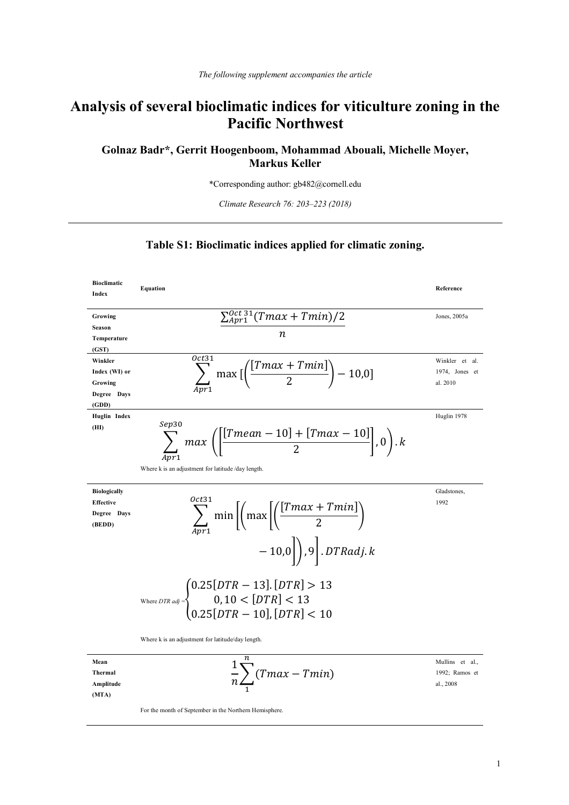# **Analysis of several bioclimatic indices for viticulture zoning in the Pacific Northwest**

# **Golnaz Badr\*, Gerrit Hoogenboom, Mohammad Abouali, Michelle Moyer, Markus Keller**

\*Corresponding author: gb482@cornell.edu

*Climate Research 76: 203–223 (2018)*

#### **Table S1: Bioclimatic indices applied for climatic zoning.**





For the month of September in the Northern Hemisphere.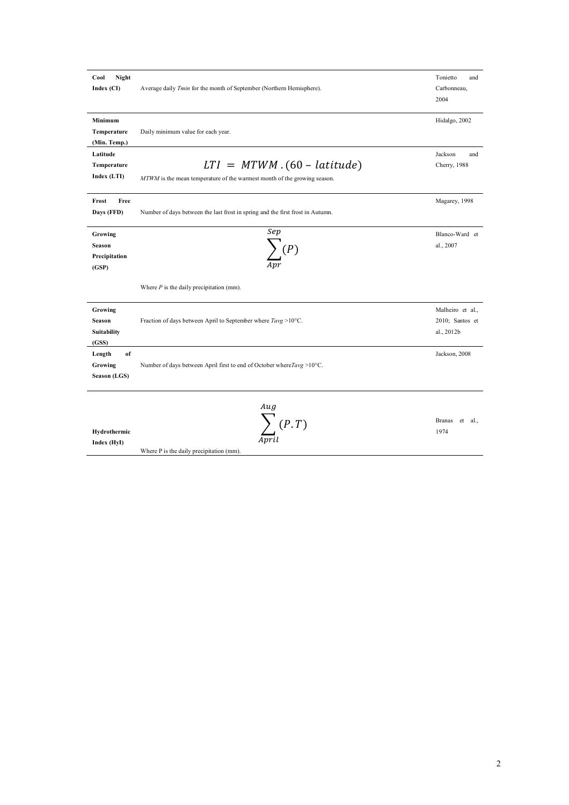| Night<br>Cool<br>Index (CI)                        | Average daily Tmin for the month of September (Northern Hemisphere).                                       | Tonietto<br>and<br>Carbonneau,<br>2004            |
|----------------------------------------------------|------------------------------------------------------------------------------------------------------------|---------------------------------------------------|
| Minimum<br>Temperature<br>(Min. Temp.)             | Daily minimum value for each year.                                                                         | Hidalgo, 2002                                     |
| Latitude<br>Temperature<br>Index (LTI)             | $LTI = MTWM . (60 - latitude)$<br>MTWM is the mean temperature of the warmest month of the growing season. | Jackson<br>and<br>Cherry, 1988                    |
| Free<br>Frost<br>Days (FFD)                        | Number of days between the last frost in spring and the first frost in Autumn.                             | Magarey, 1998                                     |
| Growing<br><b>Season</b><br>Precipitation<br>(GSP) | Sep<br>$\sum$ (P)                                                                                          | Blanco-Ward et<br>al., 2007                       |
|                                                    | Where $P$ is the daily precipitation (mm).                                                                 |                                                   |
| Growing<br>Season<br>Suitability<br>(GSS)          | Fraction of days between April to September where $T \text{avg} > 10^{\circ} \text{C}$ .                   | Malheiro et al.,<br>2010; Santos et<br>al., 2012b |
| Length<br>of<br>Growing<br>Season (LGS)            | Number of days between April first to end of October where $Tavg > 10^{\circ}C$ .                          | Jackson, 2008                                     |
| Hydrothermic<br>Index (HyI)                        | $Au$ g<br>Avril                                                                                            | <b>Branas</b><br>et<br>al.,<br>1974               |

Where P is the daily precipitation (mm).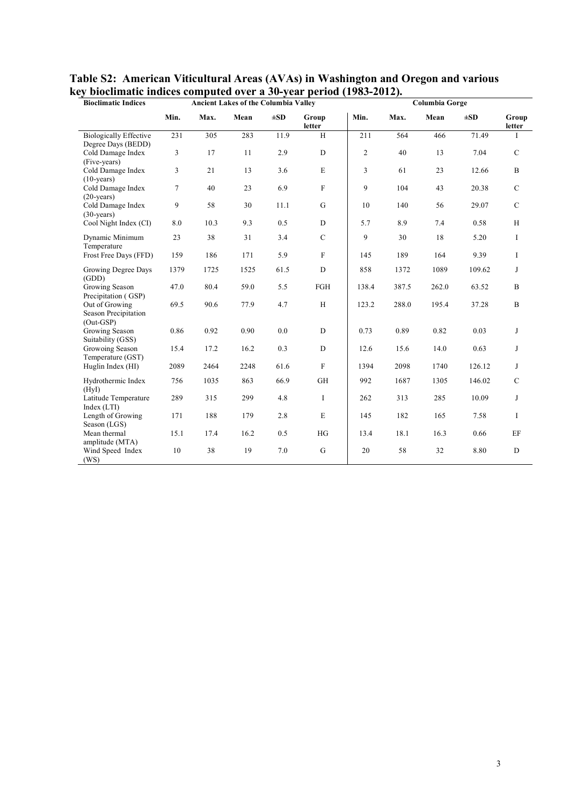| <b>Bioclimatic Indices</b>                            |        |      | <b>Ancient Lakes of the Columbia Valley</b> |          |                 | Columbia Gorge |       |       |          |                 |  |
|-------------------------------------------------------|--------|------|---------------------------------------------|----------|-----------------|----------------|-------|-------|----------|-----------------|--|
|                                                       | Min.   | Max. | Mean                                        | $\pm SD$ | Group<br>letter | Min.           | Max.  | Mean  | $\pm SD$ | Group<br>letter |  |
| <b>Biologically Effective</b><br>Degree Days (BEDD)   | 231    | 305  | 283                                         | 11.9     | H               | 211            | 564   | 466   | 71.49    | Ι               |  |
| Cold Damage Index<br>(Five-years)                     | 3      | 17   | 11                                          | 2.9      | $\mathbf D$     | 2              | 40    | 13    | 7.04     | $\mathcal{C}$   |  |
| Cold Damage Index<br>$(10\text{-years})$              | 3      | 21   | 13                                          | 3.6      | $\mathbf E$     | 3              | 61    | 23    | 12.66    | B               |  |
| Cold Damage Index<br>$(20\text{-years})$              | $\tau$ | 40   | 23                                          | 6.9      | $\mathbf F$     | 9              | 104   | 43    | 20.38    | $\mathcal{C}$   |  |
| Cold Damage Index<br>$(30\text{-years})$              | 9      | 58   | 30                                          | 11.1     | G               | 10             | 140   | 56    | 29.07    | $\mathcal{C}$   |  |
| Cool Night Index (CI)                                 | 8.0    | 10.3 | 9.3                                         | 0.5      | ${\bf D}$       | 5.7            | 8.9   | 7.4   | 0.58     | H               |  |
| Dynamic Minimum<br>Temperature                        | 23     | 38   | 31                                          | 3.4      | $\mathbf C$     | 9              | 30    | 18    | 5.20     | I               |  |
| Frost Free Days (FFD)                                 | 159    | 186  | 171                                         | 5.9      | $\mathbf F$     | 145            | 189   | 164   | 9.39     | I               |  |
| Growing Degree Days<br>(GDD)                          | 1379   | 1725 | 1525                                        | 61.5     | ${\bf D}$       | 858            | 1372  | 1089  | 109.62   | J               |  |
| Growing Season<br>Precipitation (GSP)                 | 47.0   | 80.4 | 59.0                                        | 5.5      | FGH             | 138.4          | 387.5 | 262.0 | 63.52    | $\, {\bf B}$    |  |
| Out of Growing<br>Season Precipitation<br>$(Out-GSP)$ | 69.5   | 90.6 | 77.9                                        | 4.7      | H               | 123.2          | 288.0 | 195.4 | 37.28    | $\, {\bf B}$    |  |
| Growing Season<br>Suitability (GSS)                   | 0.86   | 0.92 | 0.90                                        | 0.0      | $\mathbf D$     | 0.73           | 0.89  | 0.82  | 0.03     | J               |  |
| Growoing Season<br>Temperature (GST)                  | 15.4   | 17.2 | 16.2                                        | 0.3      | ${\bf D}$       | 12.6           | 15.6  | 14.0  | 0.63     | J               |  |
| Huglin Index (HI)                                     | 2089   | 2464 | 2248                                        | 61.6     | $\mathbf F$     | 1394           | 2098  | 1740  | 126.12   | J               |  |
| Hydrothermic Index<br>(HvI)                           | 756    | 1035 | 863                                         | 66.9     | <b>GH</b>       | 992            | 1687  | 1305  | 146.02   | $\mathbf C$     |  |
| Latitude Temperature<br>Index (LTI)                   | 289    | 315  | 299                                         | 4.8      | I               | 262            | 313   | 285   | 10.09    | J               |  |
| Length of Growing<br>Season (LGS)                     | 171    | 188  | 179                                         | 2.8      | $\mathbf E$     | 145            | 182   | 165   | 7.58     | I               |  |
| Mean thermal<br>amplitude (MTA)                       | 15.1   | 17.4 | 16.2                                        | 0.5      | HG              | 13.4           | 18.1  | 16.3  | 0.66     | EF              |  |
| Wind Speed Index<br>(WS)                              | 10     | 38   | 19                                          | 7.0      | $\mathbf G$     | 20             | 58    | 32    | 8.80     | $\mathbf D$     |  |

**Table S2: American Viticultural Areas (AVAs) in Washington and Oregon and various key bioclimatic indices computed over a 30-year period (1983-2012).**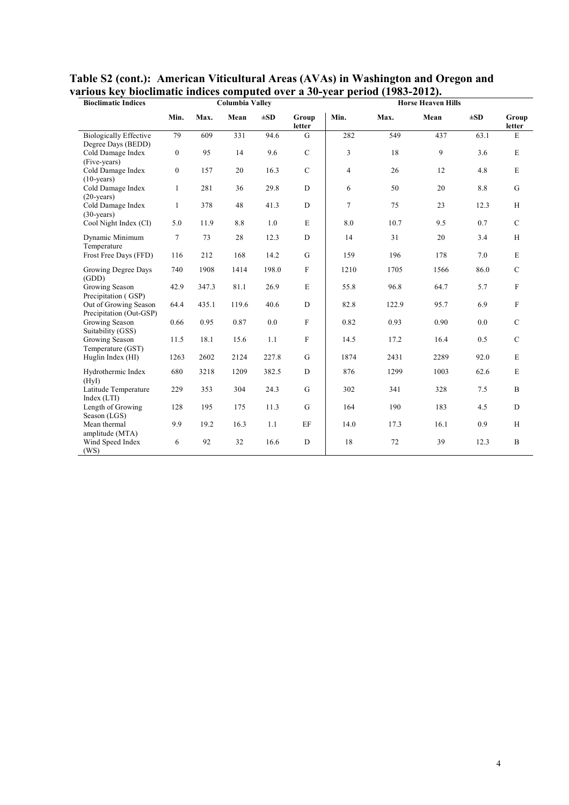| <b>Bioclimatic Indices</b>                              |                  |       | <b>Columbia Valley</b> |          |                 | <b>Horse Heaven Hills</b> |       |      |          |                           |  |  |
|---------------------------------------------------------|------------------|-------|------------------------|----------|-----------------|---------------------------|-------|------|----------|---------------------------|--|--|
|                                                         | Min.             | Max.  | Mean                   | $\pm SD$ | Group<br>letter | Min.                      | Max.  | Mean | $\pm SD$ | Group<br>letter           |  |  |
| <b>Biologically Effective</b>                           | 79               | 609   | 331                    | 94.6     | G               | 282                       | 549   | 437  | 63.1     | E                         |  |  |
| Degree Days (BEDD)<br>Cold Damage Index<br>(Five-years) | $\boldsymbol{0}$ | 95    | 14                     | 9.6      | $\mathbf C$     | 3                         | 18    | 9    | 3.6      | E                         |  |  |
| Cold Damage Index<br>$(10\text{-years})$                | $\boldsymbol{0}$ | 157   | 20                     | 16.3     | $\mathbf C$     | $\overline{4}$            | 26    | 12   | 4.8      | $\mathbf E$               |  |  |
| Cold Damage Index<br>$(20\text{-years})$                | $\mathbf{1}$     | 281   | 36                     | 29.8     | ${\bf D}$       | 6                         | 50    | 20   | 8.8      | $\mathbf G$               |  |  |
| Cold Damage Index<br>$(30-years)$                       | 1                | 378   | 48                     | 41.3     | ${\bf D}$       | $\overline{7}$            | 75    | 23   | 12.3     | H                         |  |  |
| Cool Night Index (CI)                                   | 5.0              | 11.9  | $8.8\,$                | 1.0      | $\mathbf E$     | 8.0                       | 10.7  | 9.5  | 0.7      | ${\bf C}$                 |  |  |
| Dynamic Minimum<br>Temperature                          | $\tau$           | 73    | 28                     | 12.3     | D               | 14                        | 31    | 20   | 3.4      | H                         |  |  |
| Frost Free Days (FFD)                                   | 116              | 212   | 168                    | 14.2     | $\mathbf G$     | 159                       | 196   | 178  | 7.0      | ${\bf E}$                 |  |  |
| Growing Degree Days<br>(GDD)                            | 740              | 1908  | 1414                   | 198.0    | $\mathbf F$     | 1210                      | 1705  | 1566 | 86.0     | $\mathcal{C}$             |  |  |
| Growing Season<br>Precipitation (GSP)                   | 42.9             | 347.3 | 81.1                   | 26.9     | $\mathbf E$     | 55.8                      | 96.8  | 64.7 | 5.7      | $\boldsymbol{\mathrm{F}}$ |  |  |
| Out of Growing Season<br>Precipitation (Out-GSP)        | 64.4             | 435.1 | 119.6                  | 40.6     | D               | 82.8                      | 122.9 | 95.7 | 6.9      | $\boldsymbol{\mathrm{F}}$ |  |  |
| Growing Season<br>Suitability (GSS)                     | 0.66             | 0.95  | 0.87                   | 0.0      | $\mathbf F$     | 0.82                      | 0.93  | 0.90 | 0.0      | $\mathsf{C}$              |  |  |
| Growing Season<br>Temperature (GST)                     | 11.5             | 18.1  | 15.6                   | 1.1      | $\mathbf F$     | 14.5                      | 17.2  | 16.4 | 0.5      | $\mathbf C$               |  |  |
| Huglin Index (HI)                                       | 1263             | 2602  | 2124                   | 227.8    | G               | 1874                      | 2431  | 2289 | 92.0     | E                         |  |  |
| Hydrothermic Index<br>(HyI)                             | 680              | 3218  | 1209                   | 382.5    | ${\rm D}$       | 876                       | 1299  | 1003 | 62.6     | E                         |  |  |
| Latitude Temperature<br>Index (LTI)                     | 229              | 353   | 304                    | 24.3     | $\mathbf G$     | 302                       | 341   | 328  | 7.5      | $\, {\bf B}$              |  |  |
| Length of Growing<br>Season (LGS)                       | 128              | 195   | 175                    | 11.3     | $\mathbf G$     | 164                       | 190   | 183  | 4.5      | $\mathbf D$               |  |  |
| Mean thermal<br>amplitude (MTA)                         | 9.9              | 19.2  | 16.3                   | 1.1      | EF              | 14.0                      | 17.3  | 16.1 | 0.9      | H                         |  |  |
| Wind Speed Index<br>(WS)                                | 6                | 92    | 32                     | 16.6     | D               | 18                        | 72    | 39   | 12.3     | $\mathbf B$               |  |  |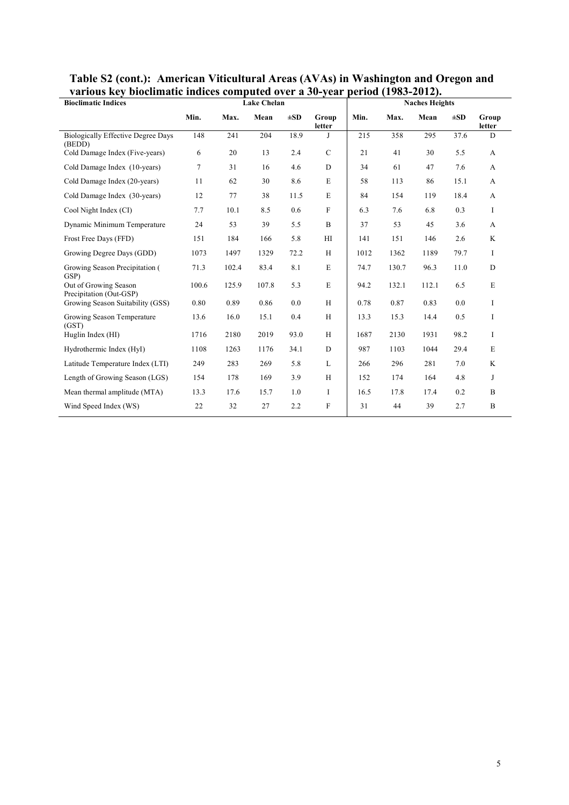| various key biochinatic murces computed over a bo-year |                 |       |                    |          |                 | $\mu$ ci ivu (1709–4014). |       |                       |          |                 |  |
|--------------------------------------------------------|-----------------|-------|--------------------|----------|-----------------|---------------------------|-------|-----------------------|----------|-----------------|--|
| <b>Bioclimatic Indices</b>                             |                 |       | <b>Lake Chelan</b> |          |                 |                           |       | <b>Naches Heights</b> |          |                 |  |
|                                                        | Min.            | Max.  | Mean               | $\pm SD$ | Group<br>letter | Min.                      | Max.  | Mean                  | $\pm SD$ | Group<br>letter |  |
| <b>Biologically Effective Degree Days</b><br>(BEDD)    | 148             | 241   | 204                | 18.9     | J               | 215                       | 358   | 295                   | 37.6     | D               |  |
| Cold Damage Index (Five-years)                         | 6               | 20    | 13                 | 2.4      | $\mathbf C$     | 21                        | 41    | 30                    | 5.5      | $\mathbf{A}$    |  |
| Cold Damage Index (10-years)                           | $7\overline{ }$ | 31    | 16                 | 4.6      | $\mathbf D$     | 34                        | 61    | 47                    | 7.6      | $\mathbf{A}$    |  |
| Cold Damage Index (20-years)                           | 11              | 62    | 30                 | 8.6      | E               | 58                        | 113   | 86                    | 15.1     | A               |  |
| Cold Damage Index (30-years)                           | 12              | 77    | 38                 | 11.5     | $\mathbf E$     | 84                        | 154   | 119                   | 18.4     | $\mathbf{A}$    |  |
| Cool Night Index (CI)                                  | 7.7             | 10.1  | 8.5                | 0.6      | F               | 6.3                       | 7.6   | 6.8                   | 0.3      | I               |  |
| Dynamic Minimum Temperature                            | 24              | 53    | 39                 | 5.5      | $\, {\bf B}$    | 37                        | 53    | 45                    | 3.6      | A               |  |
| Frost Free Days (FFD)                                  | 151             | 184   | 166                | 5.8      | H               | 141                       | 151   | 146                   | 2.6      | K               |  |
| Growing Degree Days (GDD)                              | 1073            | 1497  | 1329               | 72.2     | H               | 1012                      | 1362  | 1189                  | 79.7     | I               |  |
| Growing Season Precipitation (<br>GSP)                 | 71.3            | 102.4 | 83.4               | 8.1      | E               | 74.7                      | 130.7 | 96.3                  | 11.0     | ${\rm D}$       |  |
| Out of Growing Season<br>Precipitation (Out-GSP)       | 100.6           | 125.9 | 107.8              | 5.3      | E               | 94.2                      | 132.1 | 112.1                 | 6.5      | E               |  |
| Growing Season Suitability (GSS)                       | 0.80            | 0.89  | 0.86               | 0.0      | H               | 0.78                      | 0.87  | 0.83                  | 0.0      | I               |  |
| Growing Season Temperature<br>(GST)                    | 13.6            | 16.0  | 15.1               | 0.4      | H               | 13.3                      | 15.3  | 14.4                  | 0.5      | I               |  |
| Huglin Index (HI)                                      | 1716            | 2180  | 2019               | 93.0     | H               | 1687                      | 2130  | 1931                  | 98.2     | I               |  |
| Hydrothermic Index (HyI)                               | 1108            | 1263  | 1176               | 34.1     | D               | 987                       | 1103  | 1044                  | 29.4     | $\mathbf E$     |  |
| Latitude Temperature Index (LTI)                       | 249             | 283   | 269                | 5.8      | L               | 266                       | 296   | 281                   | 7.0      | K               |  |
| Length of Growing Season (LGS)                         | 154             | 178   | 169                | 3.9      | H               | 152                       | 174   | 164                   | 4.8      | J               |  |
| Mean thermal amplitude (MTA)                           | 13.3            | 17.6  | 15.7               | 1.0      | I               | 16.5                      | 17.8  | 17.4                  | 0.2      | $\mathbf B$     |  |
| Wind Speed Index (WS)                                  | 22              | 32    | 27                 | 2.2      | F               | 31                        | 44    | 39                    | 2.7      | B               |  |
|                                                        |                 |       |                    |          |                 |                           |       |                       |          |                 |  |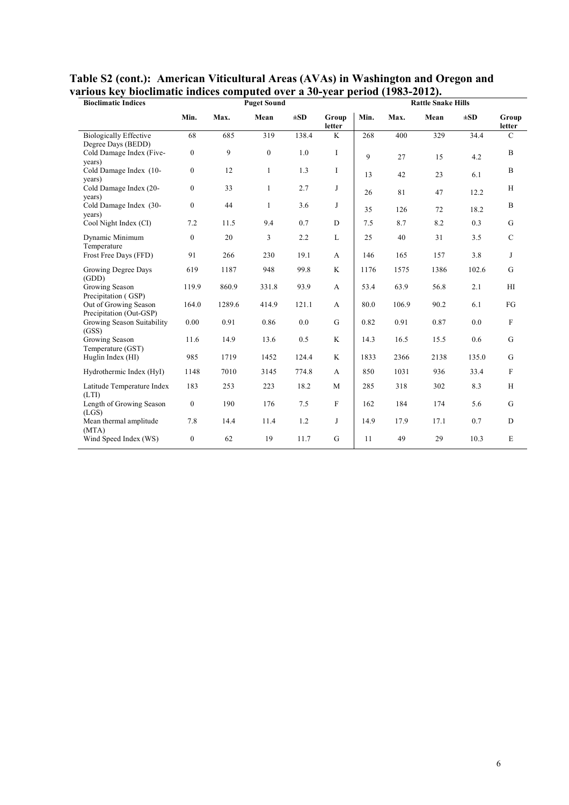| <b>Bioclimatic Indices</b>                          |                  |        | <b>Puget Sound</b> |          |                 | <b>Rattle Snake Hills</b> |       |      |          |                            |  |  |
|-----------------------------------------------------|------------------|--------|--------------------|----------|-----------------|---------------------------|-------|------|----------|----------------------------|--|--|
|                                                     | Min.             | Max.   | Mean               | $\pm SD$ | Group<br>letter | Min.                      | Max.  | Mean | $\pm SD$ | Group<br><b>letter</b>     |  |  |
| <b>Biologically Effective</b><br>Degree Days (BEDD) | 68               | 685    | 319                | 138.4    | K               | 268                       | 400   | 329  | 34.4     | $\mathcal{C}$              |  |  |
| Cold Damage Index (Five-<br>years)                  | $\boldsymbol{0}$ | 9      | $\boldsymbol{0}$   | 1.0      | I               | 9                         | 27    | 15   | 4.2      | $\, {\bf B}$               |  |  |
| Cold Damage Index (10-<br>years)                    | $\boldsymbol{0}$ | 12     | $\mathbf{1}$       | 1.3      | I               | 13                        | 42    | 23   | 6.1      | $\, {\bf B}$               |  |  |
| Cold Damage Index (20-<br>years)                    | $\boldsymbol{0}$ | 33     | $\mathbf{1}$       | 2.7      | J               | 26                        | 81    | 47   | 12.2     | H                          |  |  |
| Cold Damage Index (30-<br>years)                    | $\boldsymbol{0}$ | 44     | $\mathbf{1}$       | 3.6      | J               | 35                        | 126   | 72   | 18.2     | $\, {\bf B}$               |  |  |
| Cool Night Index (CI)                               | 7.2              | 11.5   | 9.4                | 0.7      | D               | 7.5                       | 8.7   | 8.2  | 0.3      | G                          |  |  |
| Dynamic Minimum<br>Temperature                      | $\boldsymbol{0}$ | 20     | 3                  | 2.2      | L               | 25                        | 40    | 31   | 3.5      | $\mathbf C$                |  |  |
| Frost Free Days (FFD)                               | 91               | 266    | 230                | 19.1     | A               | 146                       | 165   | 157  | 3.8      | J                          |  |  |
| Growing Degree Days<br>(GDD)                        | 619              | 1187   | 948                | 99.8     | K               | 1176                      | 1575  | 1386 | 102.6    | G                          |  |  |
| Growing Season<br>Precipitation (GSP)               | 119.9            | 860.9  | 331.8              | 93.9     | $\mathbf{A}$    | 53.4                      | 63.9  | 56.8 | 2.1      | $\mathop{\rm HI}\nolimits$ |  |  |
| Out of Growing Season<br>Precipitation (Out-GSP)    | 164.0            | 1289.6 | 414.9              | 121.1    | A               | 80.0                      | 106.9 | 90.2 | 6.1      | FG                         |  |  |
| Growing Season Suitability<br>(GSS)                 | 0.00             | 0.91   | 0.86               | 0.0      | $\mathbf G$     | 0.82                      | 0.91  | 0.87 | 0.0      | $\mathbf F$                |  |  |
| Growing Season<br>Temperature (GST)                 | 11.6             | 14.9   | 13.6               | 0.5      | K               | 14.3                      | 16.5  | 15.5 | 0.6      | $\mathbf G$                |  |  |
| Huglin Index (HI)                                   | 985              | 1719   | 1452               | 124.4    | K               | 1833                      | 2366  | 2138 | 135.0    | $\mathbf G$                |  |  |
| Hydrothermic Index (HyI)                            | 1148             | 7010   | 3145               | 774.8    | $\mathbf{A}$    | 850                       | 1031  | 936  | 33.4     | $\mathbf F$                |  |  |
| Latitude Temperature Index<br>(LTI)                 | 183              | 253    | 223                | 18.2     | M               | 285                       | 318   | 302  | 8.3      | $\rm H$                    |  |  |
| Length of Growing Season<br>(LGS)                   | $\boldsymbol{0}$ | 190    | 176                | 7.5      | $\mathbf F$     | 162                       | 184   | 174  | 5.6      | $\mathbf G$                |  |  |
| Mean thermal amplitude<br>(MTA)                     | 7.8              | 14.4   | 11.4               | 1.2      | J               | 14.9                      | 17.9  | 17.1 | 0.7      | ${\bf D}$                  |  |  |
| Wind Speed Index (WS)                               | $\overline{0}$   | 62     | 19                 | 11.7     | G               | 11                        | 49    | 29   | 10.3     | $\mathbf E$                |  |  |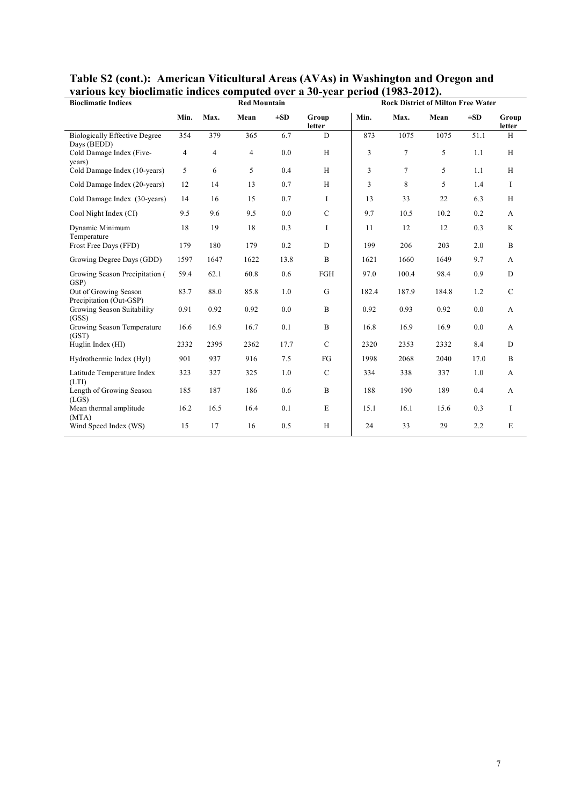| various KCy DioChinatiC murces computed over a 90-year-period (1709-2012).<br><b>Bioclimatic Indices</b> |                |                | <b>Red Mountain</b> |          |                 |                |        | <b>Rock District of Milton Free Water</b> |          |                 |
|----------------------------------------------------------------------------------------------------------|----------------|----------------|---------------------|----------|-----------------|----------------|--------|-------------------------------------------|----------|-----------------|
|                                                                                                          | Min.           | Max.           | Mean                | $\pm SD$ | Group<br>letter | Min.           | Max.   | Mean                                      | $\pm SD$ | Group<br>letter |
| <b>Biologically Effective Degree</b><br>Days (BEDD)                                                      | 354            | 379            | 365                 | 6.7      | D               | 873            | 1075   | 1075                                      | 51.1     | H               |
| Cold Damage Index (Five-<br>years)                                                                       | $\overline{4}$ | $\overline{4}$ | $\overline{4}$      | 0.0      | H               | 3              | 7      | 5                                         | 1.1      | H               |
| Cold Damage Index (10-years)                                                                             | 5              | 6              | 5                   | 0.4      | H               | $\mathfrak{Z}$ | $\tau$ | 5                                         | 1.1      | H               |
| Cold Damage Index (20-years)                                                                             | 12             | 14             | 13                  | 0.7      | H               | 3              | 8      | 5                                         | 1.4      | $\bf{I}$        |
| Cold Damage Index (30-years)                                                                             | 14             | 16             | 15                  | 0.7      | I               | 13             | 33     | 22                                        | 6.3      | H               |
| Cool Night Index (CI)                                                                                    | 9.5            | 9.6            | 9.5                 | 0.0      | $\mathbf C$     | 9.7            | 10.5   | 10.2                                      | 0.2      | A               |
| Dynamic Minimum<br>Temperature                                                                           | 18             | 19             | 18                  | 0.3      | I               | 11             | 12     | 12                                        | 0.3      | K               |
| Frost Free Days (FFD)                                                                                    | 179            | 180            | 179                 | 0.2      | D               | 199            | 206    | 203                                       | 2.0      | $\mathbf B$     |
| Growing Degree Days (GDD)                                                                                | 1597           | 1647           | 1622                | 13.8     | B               | 1621           | 1660   | 1649                                      | 9.7      | A               |
| Growing Season Precipitation (<br>GSP)                                                                   | 59.4           | 62.1           | 60.8                | 0.6      | FGH             | 97.0           | 100.4  | 98.4                                      | 0.9      | ${\rm D}$       |
| Out of Growing Season<br>Precipitation (Out-GSP)                                                         | 83.7           | 88.0           | 85.8                | 1.0      | $\mathbf G$     | 182.4          | 187.9  | 184.8                                     | 1.2      | $\mathcal{C}$   |
| Growing Season Suitability<br>(GSS)                                                                      | 0.91           | 0.92           | 0.92                | 0.0      | $\mathbf{B}$    | 0.92           | 0.93   | 0.92                                      | 0.0      | A               |
| Growing Season Temperature<br>(GST)                                                                      | 16.6           | 16.9           | 16.7                | 0.1      | B               | 16.8           | 16.9   | 16.9                                      | 0.0      | A               |
| Huglin Index (HI)                                                                                        | 2332           | 2395           | 2362                | 17.7     | $\mathsf{C}$    | 2320           | 2353   | 2332                                      | 8.4      | D               |
| Hydrothermic Index (HyI)                                                                                 | 901            | 937            | 916                 | 7.5      | FG              | 1998           | 2068   | 2040                                      | 17.0     | $\mathbf B$     |
| Latitude Temperature Index<br>(LTI)                                                                      | 323            | 327            | 325                 | 1.0      | $\mathsf{C}$    | 334            | 338    | 337                                       | 1.0      | A               |
| Length of Growing Season<br>(LGS)                                                                        | 185            | 187            | 186                 | 0.6      | $\, {\bf B}$    | 188            | 190    | 189                                       | 0.4      | A               |
| Mean thermal amplitude<br>(MTA)                                                                          | 16.2           | 16.5           | 16.4                | 0.1      | $\mathbf E$     | 15.1           | 16.1   | 15.6                                      | 0.3      | I               |
| Wind Speed Index (WS)                                                                                    | 15             | 17             | 16                  | 0.5      | H               | 24             | 33     | 29                                        | 2.2      | $\mathbf E$     |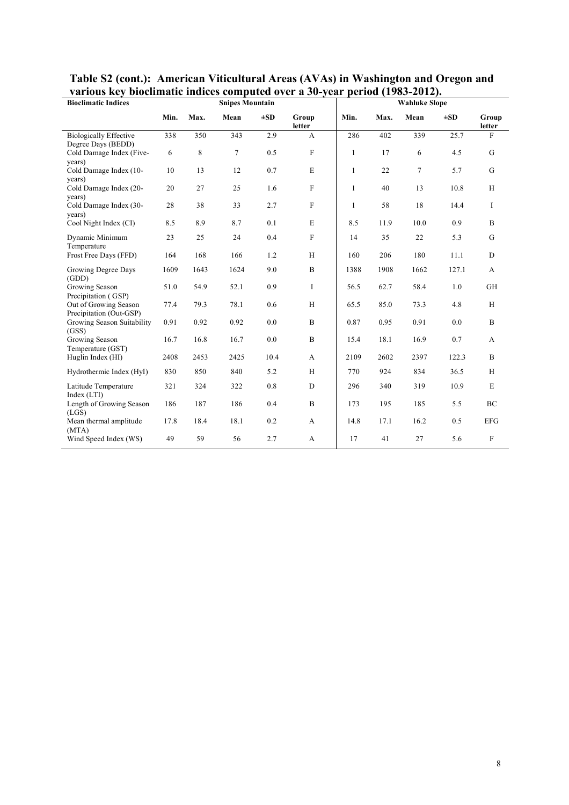| varīvus Key biochinātie murees computeu over a Jo-year<br><b>Bioclimatic Indices</b> |      |      | <b>Snipes Mountain</b> |          |                  | $\mu$ . $\mu$ | <b>Wahluke Slope</b> |        |          |                 |  |  |
|--------------------------------------------------------------------------------------|------|------|------------------------|----------|------------------|---------------|----------------------|--------|----------|-----------------|--|--|
|                                                                                      | Min. | Max. | Mean                   | $\pm SD$ | Group<br>letter  | Min.          | Max.                 | Mean   | $\pm SD$ | Group<br>letter |  |  |
| <b>Biologically Effective</b>                                                        | 338  | 350  | 343                    | 2.9      | $\mathbf{A}$     | 286           | 402                  | 339    | 25.7     | F               |  |  |
| Degree Days (BEDD)<br>Cold Damage Index (Five-<br>years)                             | 6    | 8    | $\tau$                 | 0.5      | $\mathbf F$      | $\mathbf{1}$  | 17                   | 6      | 4.5      | G               |  |  |
| Cold Damage Index (10-<br>years)                                                     | 10   | 13   | 12                     | $0.7\,$  | $\mathbf E$      | $\mathbf{1}$  | 22                   | $\tau$ | 5.7      | $\mathbf G$     |  |  |
| Cold Damage Index (20-<br>years)                                                     | 20   | 27   | 25                     | 1.6      | $\mathbf F$      | $\mathbf{1}$  | 40                   | 13     | 10.8     | H               |  |  |
| Cold Damage Index (30-<br>years)                                                     | 28   | 38   | 33                     | 2.7      | $\mathbf F$      | $\mathbf{1}$  | 58                   | 18     | 14.4     | I               |  |  |
| Cool Night Index (CI)                                                                | 8.5  | 8.9  | 8.7                    | 0.1      | $\mathbf E$      | 8.5           | 11.9                 | 10.0   | 0.9      | $\, {\bf B}$    |  |  |
| Dynamic Minimum<br>Temperature                                                       | 23   | 25   | 24                     | 0.4      | $\mathbf F$      | 14            | 35                   | 22     | 5.3      | G               |  |  |
| Frost Free Days (FFD)                                                                | 164  | 168  | 166                    | 1.2      | $\,$ H           | 160           | 206                  | 180    | 11.1     | D               |  |  |
| Growing Degree Days<br>(GDD)                                                         | 1609 | 1643 | 1624                   | 9.0      | $\, {\bf B}$     | 1388          | 1908                 | 1662   | 127.1    | A               |  |  |
| Growing Season<br>Precipitation (GSP)                                                | 51.0 | 54.9 | 52.1                   | 0.9      | I                | 56.5          | 62.7                 | 58.4   | 1.0      | GH              |  |  |
| Out of Growing Season<br>Precipitation (Out-GSP)                                     | 77.4 | 79.3 | 78.1                   | 0.6      | H                | 65.5          | 85.0                 | 73.3   | 4.8      | H               |  |  |
| Growing Season Suitability<br>(GSS)                                                  | 0.91 | 0.92 | 0.92                   | 0.0      | $\boldsymbol{B}$ | 0.87          | 0.95                 | 0.91   | 0.0      | $\mathbf B$     |  |  |
| Growing Season<br>Temperature (GST)                                                  | 16.7 | 16.8 | 16.7                   | 0.0      | $\boldsymbol{B}$ | 15.4          | 18.1                 | 16.9   | 0.7      | A               |  |  |
| Huglin Index (HI)                                                                    | 2408 | 2453 | 2425                   | 10.4     | A                | 2109          | 2602                 | 2397   | 122.3    | B               |  |  |
| Hydrothermic Index (HyI)                                                             | 830  | 850  | 840                    | 5.2      | H                | 770           | 924                  | 834    | 36.5     | H               |  |  |
| Latitude Temperature<br>Index (LTI)                                                  | 321  | 324  | 322                    | 0.8      | ${\rm D}$        | 296           | 340                  | 319    | 10.9     | E               |  |  |
| Length of Growing Season<br>(LGS)                                                    | 186  | 187  | 186                    | 0.4      | B                | 173           | 195                  | 185    | 5.5      | BC              |  |  |
| Mean thermal amplitude<br>(MTA)                                                      | 17.8 | 18.4 | 18.1                   | 0.2      | A                | 14.8          | 17.1                 | 16.2   | 0.5      | <b>EFG</b>      |  |  |
| Wind Speed Index (WS)                                                                | 49   | 59   | 56                     | 2.7      | A                | 17            | 41                   | 27     | 5.6      | $\mathbf F$     |  |  |